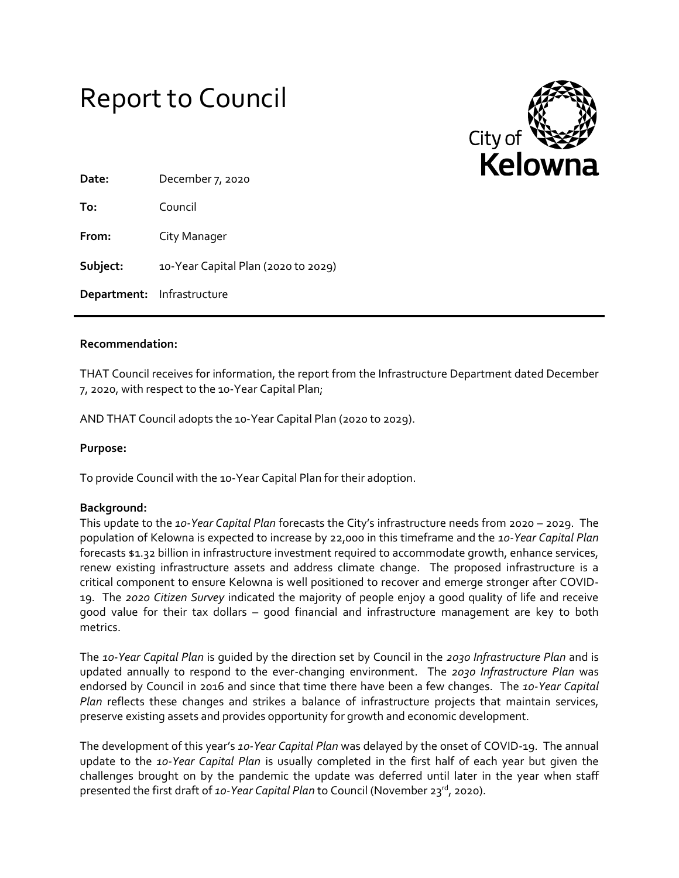



| Date:                      | December 7, 2020                    |
|----------------------------|-------------------------------------|
| To:                        | Council                             |
| From:                      | City Manager                        |
| Subject:                   | 10-Year Capital Plan (2020 to 2029) |
| Department: Infrastructure |                                     |

#### **Recommendation:**

THAT Council receives for information, the report from the Infrastructure Department dated December 7, 2020, with respect to the 10-Year Capital Plan;

AND THAT Council adopts the 10-Year Capital Plan (2020 to 2029).

#### **Purpose:**

To provide Council with the 10-Year Capital Plan for their adoption.

#### **Background:**

This update to the *10-Year Capital Plan* forecasts the City's infrastructure needs from 2020 – 2029. The population of Kelowna is expected to increase by 22,000 in this timeframe and the *10-Year Capital Plan* forecasts \$1.32 billion in infrastructure investment required to accommodate growth, enhance services, renew existing infrastructure assets and address climate change. The proposed infrastructure is a critical component to ensure Kelowna is well positioned to recover and emerge stronger after COVID-19. The *2020 Citizen Survey* indicated the majority of people enjoy a good quality of life and receive good value for their tax dollars – good financial and infrastructure management are key to both metrics.

The *10-Year Capital Plan* is guided by the direction set by Council in the *2030 Infrastructure Plan* and is updated annually to respond to the ever-changing environment. The *2030 Infrastructure Plan* was endorsed by Council in 2016 and since that time there have been a few changes. The *10-Year Capital Plan* reflects these changes and strikes a balance of infrastructure projects that maintain services, preserve existing assets and provides opportunity for growth and economic development.

The development of this year's *10-Year Capital Plan* was delayed by the onset of COVID-19. The annual update to the *10-Year Capital Plan* is usually completed in the first half of each year but given the challenges brought on by the pandemic the update was deferred until later in the year when staff presented the first draft of *10-Year Capital Plan* to Council (November 23rd, 2020).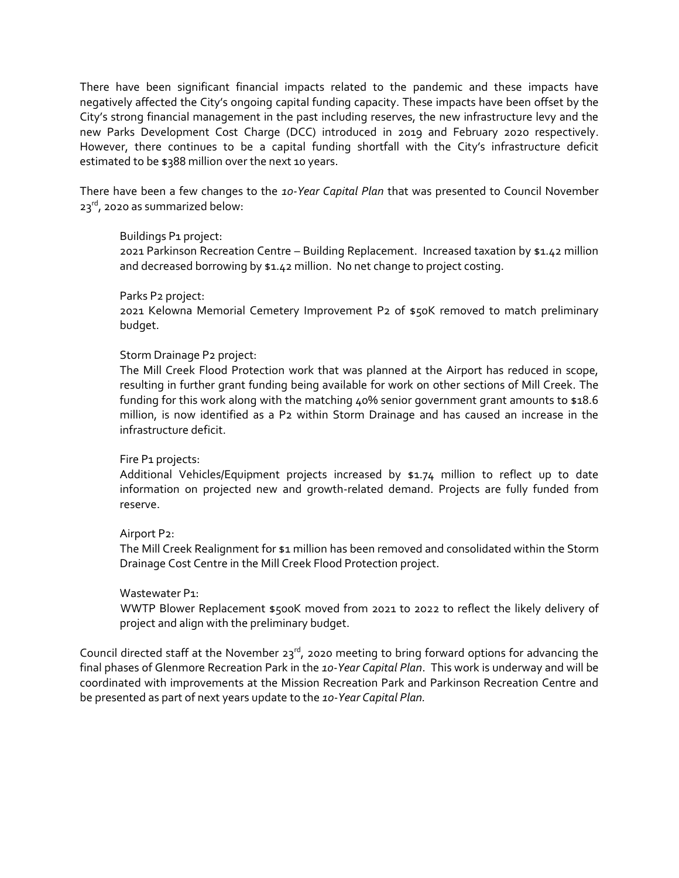There have been significant financial impacts related to the pandemic and these impacts have negatively affected the City's ongoing capital funding capacity. These impacts have been offset by the City's strong financial management in the past including reserves, the new infrastructure levy and the new Parks Development Cost Charge (DCC) introduced in 2019 and February 2020 respectively. However, there continues to be a capital funding shortfall with the City's infrastructure deficit estimated to be \$388 million over the next 10 years.

There have been a few changes to the *10-Year Capital Plan* that was presented to Council November  $23^{rd}$ , 2020 as summarized below:

# Buildings P1 project:

2021 Parkinson Recreation Centre – Building Replacement. Increased taxation by \$1.42 million and decreased borrowing by \$1.42 million. No net change to project costing.

# Parks P2 project:

2021 Kelowna Memorial Cemetery Improvement P2 of \$50K removed to match preliminary budget.

# Storm Drainage P2 project:

The Mill Creek Flood Protection work that was planned at the Airport has reduced in scope, resulting in further grant funding being available for work on other sections of Mill Creek. The funding for this work along with the matching 40% senior government grant amounts to \$18.6 million, is now identified as a P2 within Storm Drainage and has caused an increase in the infrastructure deficit.

#### Fire P1 projects:

Additional Vehicles/Equipment projects increased by \$1.74 million to reflect up to date information on projected new and growth-related demand. Projects are fully funded from reserve.

#### Airport P2:

The Mill Creek Realignment for \$1 million has been removed and consolidated within the Storm Drainage Cost Centre in the Mill Creek Flood Protection project.

#### Wastewater P<sub>1:</sub>

WWTP Blower Replacement \$500K moved from 2021 to 2022 to reflect the likely delivery of project and align with the preliminary budget.

Council directed staff at the November 23 $^{rd}$ , 2020 meeting to bring forward options for advancing the final phases of Glenmore Recreation Park in the *10-Year Capital Plan*. This work is underway and will be coordinated with improvements at the Mission Recreation Park and Parkinson Recreation Centre and be presented as part of next years update to the *10-Year Capital Plan.*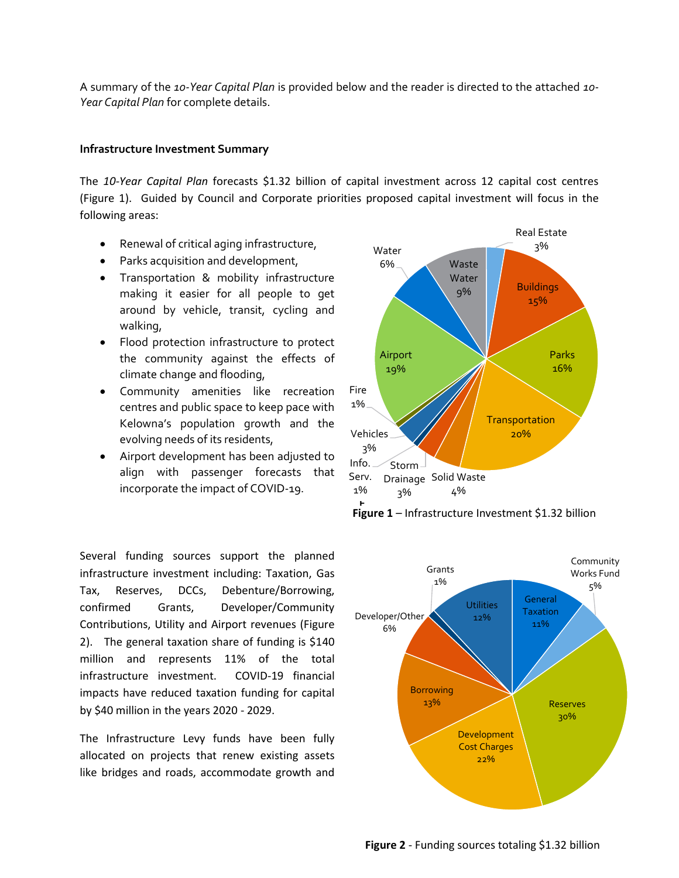A summary of the *10-Year Capital Plan* is provided below and the reader is directed to the attached *10- Year Capital Plan* for complete details.

### **Infrastructure Investment Summary**

The *10-Year Capital Plan* forecasts \$1.32 billion of capital investment across 12 capital cost centres (Figure 1). Guided by Council and Corporate priorities proposed capital investment will focus in the following areas:

- Renewal of critical aging infrastructure,
- Parks acquisition and development,
- Transportation & mobility infrastructure making it easier for all people to get around by vehicle, transit, cycling and walking,
- Flood protection infrastructure to protect the community against the effects of climate change and flooding,
- Community amenities like recreation centres and public space to keep pace with Kelowna's population growth and the evolving needs of its residents,
- Airport development has been adjusted to align with passenger forecasts that incorporate the impact of COVID-19.

Several funding sources support the planned infrastructure investment including: Taxation, Gas Tax, Reserves, DCCs, Debenture/Borrowing, confirmed Grants, Developer/Community Contributions, Utility and Airport revenues (Figure 2). The general taxation share of funding is \$140 million and represents 11% of the total infrastructure investment. COVID-19 financial impacts have reduced taxation funding for capital by \$40 million in the years 2020 - 2029.

The Infrastructure Levy funds have been fully allocated on projects that renew existing assets like bridges and roads, accommodate growth and





**Figure 2** - Funding sources totaling \$1.32 billion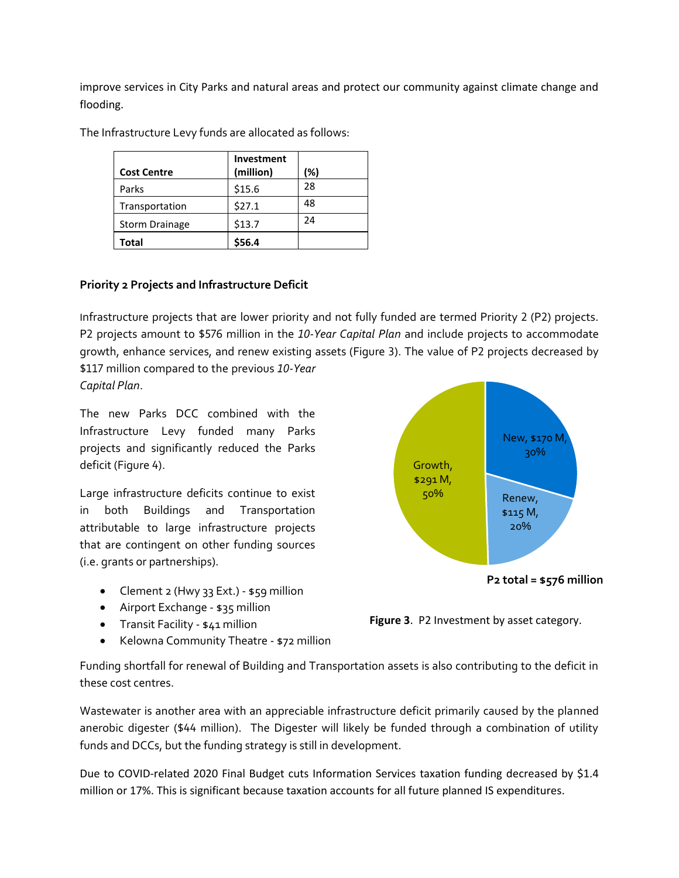improve services in City Parks and natural areas and protect our community against climate change and flooding.

| <b>Cost Centre</b>    | Investment<br>(million) | (%) |
|-----------------------|-------------------------|-----|
| Parks                 | \$15.6                  | 28  |
| Transportation        | \$27.1                  | 48  |
| <b>Storm Drainage</b> | \$13.7                  | 24  |
| Total                 | \$56.4                  |     |

The Infrastructure Levy funds are allocated as follows:

# **Priority 2 Projects and Infrastructure Deficit**

Infrastructure projects that are lower priority and not fully funded are termed Priority 2 (P2) projects. P2 projects amount to \$576 million in the *10-Year Capital Plan* and include projects to accommodate growth, enhance services, and renew existing assets (Figure 3). The value of P2 projects decreased by \$117 million compared to the previous *10-Year* 

*Capital Plan*.

The new Parks DCC combined with the Infrastructure Levy funded many Parks projects and significantly reduced the Parks deficit (Figure 4).

Large infrastructure deficits continue to exist in both Buildings and Transportation attributable to large infrastructure projects that are contingent on other funding sources (i.e. grants or partnerships).

- Clement 2 (Hwy 33 Ext.) \$59 million
- Airport Exchange \$35 million
- **•** Transit Facility \$41 million
- Kelowna Community Theatre \$72 million



**P2 total = \$576 million**



Funding shortfall for renewal of Building and Transportation assets is also contributing to the deficit in these cost centres.

Wastewater is another area with an appreciable infrastructure deficit primarily caused by the planned anerobic digester (\$44 million). The Digester will likely be funded through a combination of utility funds and DCCs, but the funding strategy is still in development.

Due to COVID-related 2020 Final Budget cuts Information Services taxation funding decreased by \$1.4 million or 17%. This is significant because taxation accounts for all future planned IS expenditures.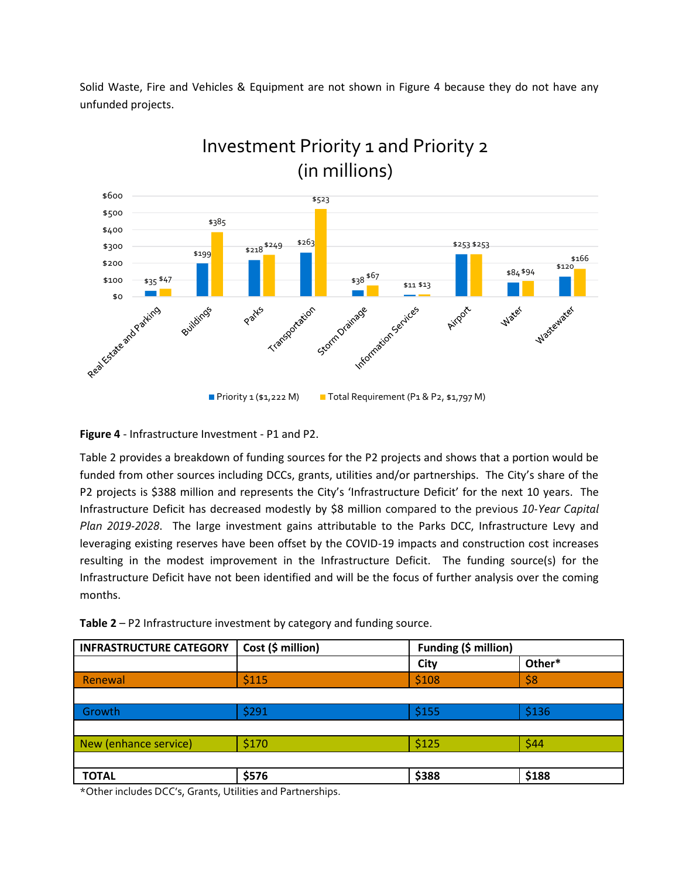Solid Waste, Fire and Vehicles & Equipment are not shown in Figure 4 because they do not have any unfunded projects.



# Investment Priority 1 and Priority 2

**Figure 4** - Infrastructure Investment - P1 and P2.

Table 2 provides a breakdown of funding sources for the P2 projects and shows that a portion would be funded from other sources including DCCs, grants, utilities and/or partnerships. The City's share of the P2 projects is \$388 million and represents the City's 'Infrastructure Deficit' for the next 10 years. The Infrastructure Deficit has decreased modestly by \$8 million compared to the previous *10-Year Capital Plan 2019-2028*. The large investment gains attributable to the Parks DCC, Infrastructure Levy and leveraging existing reserves have been offset by the COVID-19 impacts and construction cost increases resulting in the modest improvement in the Infrastructure Deficit. The funding source(s) for the Infrastructure Deficit have not been identified and will be the focus of further analysis over the coming months.

| Table $2 - P2$ Infrastructure investment by category and funding source. |  |
|--------------------------------------------------------------------------|--|
|                                                                          |  |

| <b>INFRASTRUCTURE CATEGORY</b> | Cost (\$ million) | Funding (\$ million) |        |
|--------------------------------|-------------------|----------------------|--------|
|                                |                   | City                 | Other* |
| <b>Renewal</b>                 | \$115             | \$108                | \$8    |
|                                |                   |                      |        |
| Growth                         | \$291             | \$155                | \$136  |
|                                |                   |                      |        |
| New (enhance service)          | \$170             | \$125                | \$44   |
|                                |                   |                      |        |
| <b>TOTAL</b>                   | \$576             | \$388                | \$188  |

\*Other includes DCC's, Grants, Utilities and Partnerships.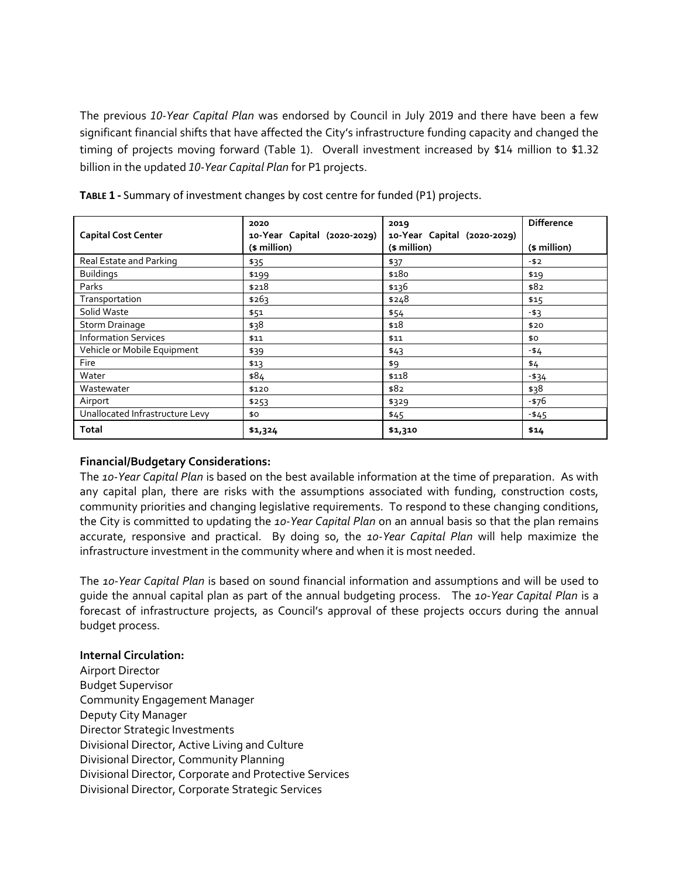The previous *10-Year Capital Plan* was endorsed by Council in July 2019 and there have been a few significant financial shifts that have affected the City's infrastructure funding capacity and changed the timing of projects moving forward (Table 1). Overall investment increased by \$14 million to \$1.32 billion in the updated *10-Year Capital Plan* for P1 projects.

| <b>Capital Cost Center</b>      | 2020<br>10-Year Capital (2020-2029)<br>(\$ million) | 2019<br>10-Year Capital (2020-2029)<br>(\$ million) | <b>Difference</b><br>(\$ million) |
|---------------------------------|-----------------------------------------------------|-----------------------------------------------------|-----------------------------------|
| Real Estate and Parking         | \$35                                                | \$37                                                | $-52$                             |
| <b>Buildings</b>                | \$199                                               | \$180                                               | \$19                              |
| Parks                           | \$218                                               | \$136                                               | \$82                              |
| Transportation                  | \$263                                               | \$248                                               | \$15                              |
| Solid Waste                     | \$51                                                | \$54                                                | $-53$                             |
| Storm Drainage                  | \$38                                                | \$18                                                | \$20                              |
| <b>Information Services</b>     | \$11                                                | \$11                                                | \$0                               |
| Vehicle or Mobile Equipment     | \$39                                                | \$43                                                | -\$4                              |
| Fire                            | \$13                                                | \$9                                                 | \$4                               |
| Water                           | \$84                                                | \$118                                               | $- $34$                           |
| Wastewater                      | \$120                                               | \$82                                                | \$38                              |
| Airport                         | \$253                                               | \$329                                               | -\$76                             |
| Unallocated Infrastructure Levy | \$0                                                 | \$45                                                | $-545$                            |
| <b>Total</b>                    | \$1,324                                             | \$1,310                                             | \$14                              |

**TABLE 1 -** Summary of investment changes by cost centre for funded (P1) projects.

# **Financial/Budgetary Considerations:**

The *10-Year Capital Plan* is based on the best available information at the time of preparation. As with any capital plan, there are risks with the assumptions associated with funding, construction costs, community priorities and changing legislative requirements. To respond to these changing conditions, the City is committed to updating the *10-Year Capital Plan* on an annual basis so that the plan remains accurate, responsive and practical. By doing so, the *10-Year Capital Plan* will help maximize the infrastructure investment in the community where and when it is most needed.

The *10-Year Capital Plan* is based on sound financial information and assumptions and will be used to guide the annual capital plan as part of the annual budgeting process. The *10-Year Capital Plan* is a forecast of infrastructure projects, as Council's approval of these projects occurs during the annual budget process.

# **Internal Circulation:**

Airport Director Budget Supervisor Community Engagement Manager Deputy City Manager Director Strategic Investments Divisional Director, Active Living and Culture Divisional Director, Community Planning Divisional Director, Corporate and Protective Services Divisional Director, Corporate Strategic Services